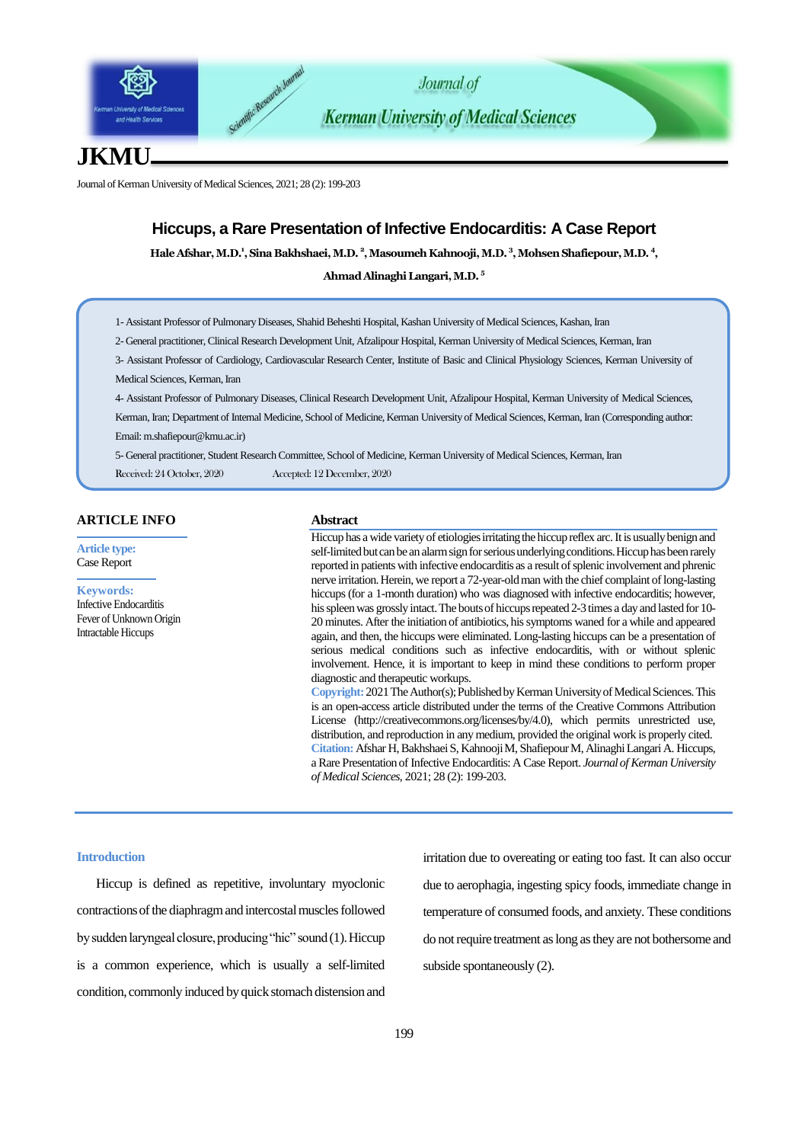



**Kerman University of Medical Sciences** 

# **JKMU**

Journal of Kerman University of Medical Sciences, 2021; 28 (2): 199-203

# **Hiccups, a Rare Presentation of Infective Endocarditis: A Case Report**

Hale Afshar, M.D.<sup>1</sup>, Sina Bakhshaei, M.D. <sup>2</sup>, Masoumeh Kahnooji, M.D. <sup>3</sup>, Mohsen Shafiepour, M.D. <sup>4</sup>,

**Ahmad Alinaghi Langari, M.D. <sup>5</sup>**

1- Assistant Professor of Pulmonary Diseases, Shahid Beheshti Hospital, Kashan University of Medical Sciences, Kashan, Iran

2- General practitioner, Clinical Research Development Unit, Afzalipour Hospital, Kerman University of Medical Sciences, Kerman, Iran

3- Assistant Professor of Cardiology, Cardiovascular Research Center, Institute of Basic and Clinical Physiology Sciences, Kerman University of Medical Sciences, Kerman, Iran

4- Assistant Professor of Pulmonary Diseases, Clinical Research Development Unit, Afzalipour Hospital, Kerman University of Medical Sciences, Kerman, Iran; Department of Internal Medicine, School of Medicine, Kerman University of Medical Sciences, Kerman, Iran (Corresponding author: Email: m.shafiepour@kmu.ac.ir)

5- General practitioner, Student Research Committee, School of Medicine, Kerman University of Medical Sciences, Kerman, Iran Received: 24 October, 2020 Accepted: 12 December, 2020

## **ARTICLE INFO**

**Article type:** Case Report

#### **Keywords:**

Infective Endocarditis Fever of Unknown Origin Intractable Hiccups

## **Abstract**

Hiccup has a wide variety of etiologies irritating the hiccup reflex arc. It is usually benign and self-limited but can be an alarm sign for serious underlying conditions. Hiccup has been rarely reported in patients with infective endocarditis as a result of splenic involvement and phrenic nerve irritation. Herein, we report a 72-year-old man with the chief complaint of long-lasting hiccups (for a 1-month duration) who was diagnosed with infective endocarditis; however, his spleen was grossly intact. The bouts of hiccups repeated 2-3 times a day and lasted for 10- 20 minutes. After the initiation of antibiotics, his symptoms waned for a while and appeared again, and then, the hiccups were eliminated. Long-lasting hiccups can be a presentation of serious medical conditions such as infective endocarditis, with or without splenic involvement. Hence, it is important to keep in mind these conditions to perform proper diagnostic and therapeutic workups.

**Copyright:** 2021 The Author(s); Published by Kerman University of Medical Sciences. This is an open-access article distributed under the terms of the Creative Commons Attribution License (http://creativecommons.org/licenses/by/4.0), which permits unrestricted use, distribution, and reproduction in any medium, provided the original work is properly cited. **Citation:** Afshar H, BakhshaeiS, KahnoojiM, ShafiepourM, Alinaghi Langari A. Hiccups, a Rare Presentation of Infective Endocarditis: A Case Report. *Journal of Kerman University of Medical Sciences*, 2021; 28 (2): 199-203.

#### **Introduction**

Hiccup is defined as repetitive, involuntary myoclonic contractions of the diaphragm and intercostal muscles followed by sudden laryngeal closure, producing "hic" sound (1). Hiccup is a common experience, which is usually a self-limited condition, commonly induced by quick stomach distension and irritation due to overeating or eating too fast. It can also occur due to aerophagia, ingesting spicy foods, immediate change in temperature of consumed foods, and anxiety. These conditions do not require treatment as long as they are not bothersome and subside spontaneously (2).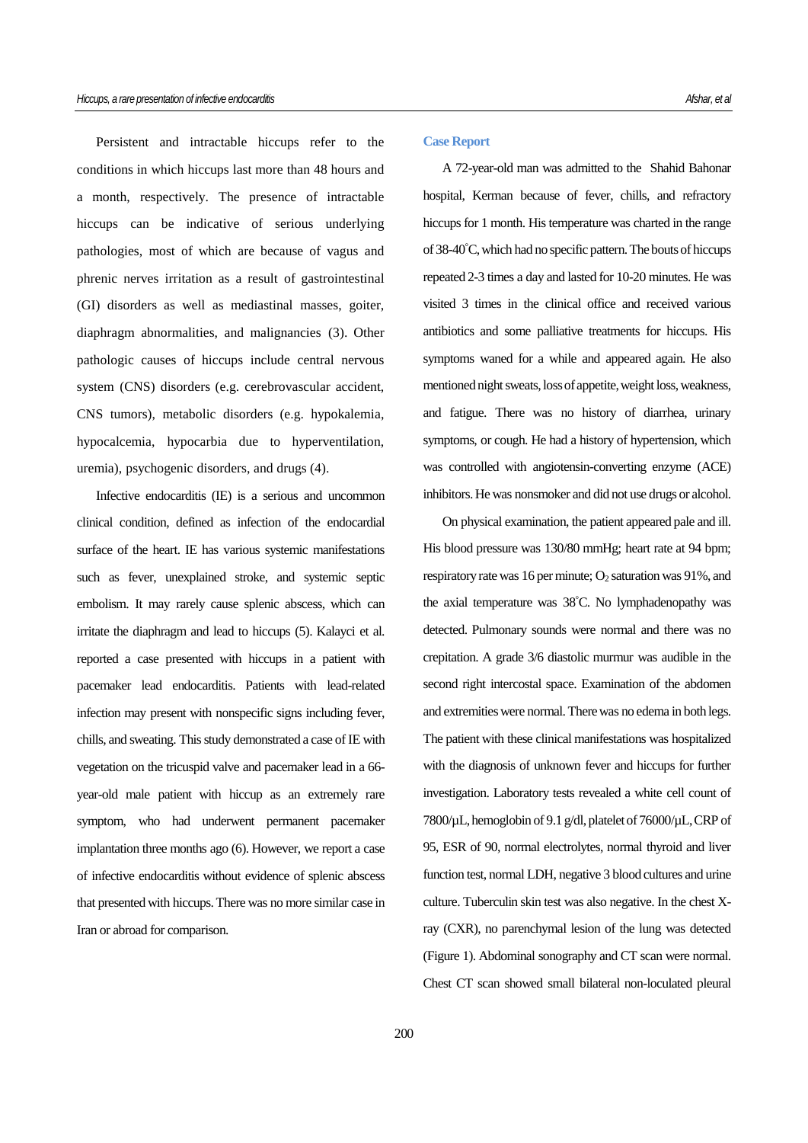Persistent and intractable hiccups refer to the conditions in which hiccups last more than 48 hours and a month, respectively. The presence of intractable hiccups can be indicative of serious underlying pathologies, most of which are because of vagus and phrenic nerves irritation as a result of gastrointestinal (GI) disorders as well as mediastinal masses, goiter, diaphragm abnormalities, and malignancies (3). Other pathologic causes of hiccups include central nervous system (CNS) disorders (e.g. cerebrovascular accident, CNS tumors), metabolic disorders (e.g. hypokalemia, hypocalcemia, hypocarbia due to hyperventilation, uremia), psychogenic disorders, and drugs (4).

Infective endocarditis (IE) is a serious and uncommon clinical condition, defined as infection of the endocardial surface of the heart. IE has various systemic manifestations such as fever, unexplained stroke, and systemic septic embolism. It may rarely cause splenic abscess, which can irritate the diaphragm and lead to hiccups (5). Kalayci et al. reported a case presented with hiccups in a patient with pacemaker lead endocarditis. Patients with lead-related infection may present with nonspecific signs including fever, chills, and sweating. This study demonstrated a case of IE with vegetation on the tricuspid valve and pacemaker lead in a 66 year-old male patient with hiccup as an extremely rare symptom, who had underwent permanent pacemaker implantation three months ago (6). However, we report a case of infective endocarditis without evidence of splenic abscess that presented with hiccups. There was no more similar case in Iran or abroad for comparison.

#### **Case Report**

A 72-year-old man was admitted to the Shahid Bahonar hospital, Kerman because of fever, chills, and refractory hiccups for 1 month. His temperature was charted in the range of 38-40°C, which had no specific pattern. The bouts of hiccups repeated 2-3 times a day and lasted for 10-20 minutes. He was visited 3 times in the clinical office and received various antibiotics and some palliative treatments for hiccups. His symptoms waned for a while and appeared again. He also mentioned night sweats, loss of appetite, weight loss, weakness, and fatigue. There was no history of diarrhea, urinary symptoms, or cough. He had a history of hypertension, which was controlled with angiotensin-converting enzyme (ACE) inhibitors. He was nonsmoker and did not use drugs or alcohol.

On physical examination, the patient appeared pale and ill. His blood pressure was 130/80 mmHg; heart rate at 94 bpm; respiratory rate was 16 per minute;  $O_2$  saturation was 91%, and the axial temperature was 38°C. No lymphadenopathy was detected. Pulmonary sounds were normal and there was no crepitation. A grade 3/6 diastolic murmur was audible in the second right intercostal space. Examination of the abdomen and extremities were normal. There was no edema in both legs. The patient with these clinical manifestations was hospitalized with the diagnosis of unknown fever and hiccups for further investigation. Laboratory tests revealed a white cell count of 7800/µL, hemoglobin of 9.1 g/dl, platelet of 76000/µL, CRP of 95, ESR of 90, normal electrolytes, normal thyroid and liver function test, normal LDH, negative 3 blood cultures and urine culture. Tuberculin skin test was also negative. In the chest Xray (CXR), no parenchymal lesion of the lung was detected (Figure 1). Abdominal sonography and CT scan were normal. Chest CT scan showed small bilateral non-loculated pleural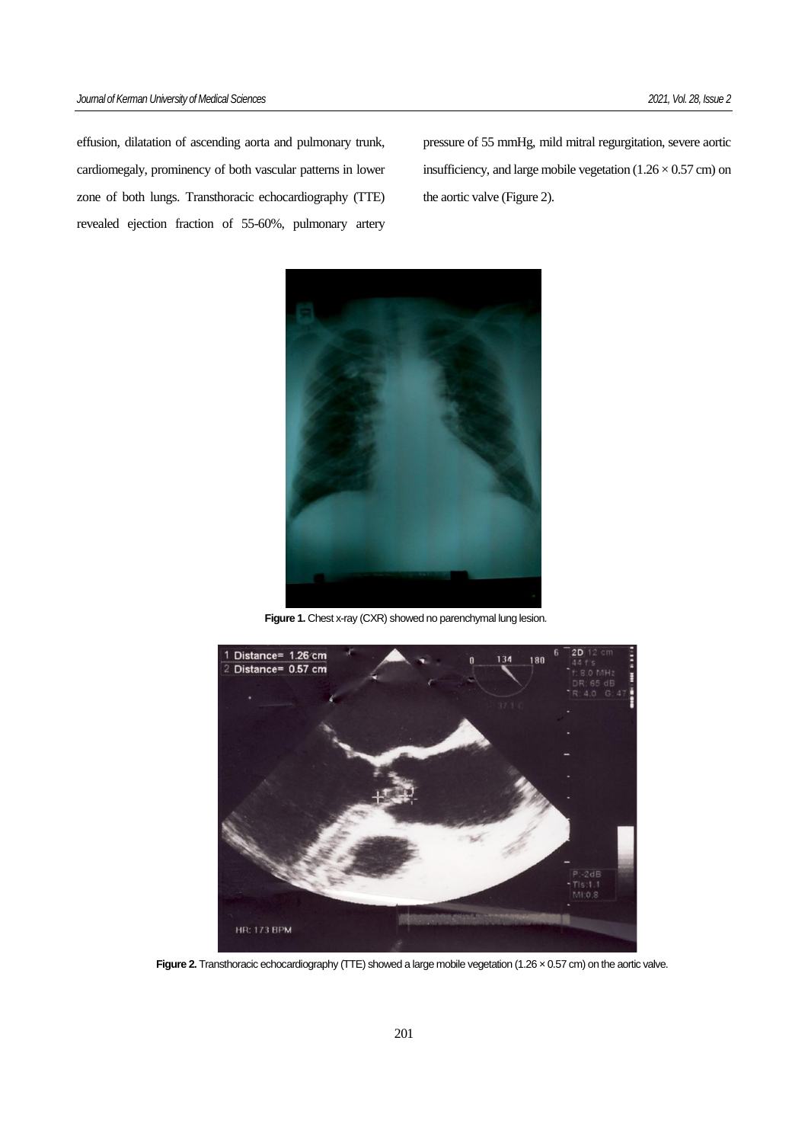effusion, dilatation of ascending aorta and pulmonary trunk, cardiomegaly, prominency of both vascular patterns in lower zone of both lungs. Transthoracic echocardiography (TTE) revealed ejection fraction of 55-60%, pulmonary artery

pressure of 55 mmHg, mild mitral regurgitation, severe aortic insufficiency, and large mobile vegetation  $(1.26 \times 0.57 \text{ cm})$  on the aortic valve (Figure 2).



**Figure 1.** Chest x-ray (CXR) showed no parenchymal lung lesion.



**Figure 2.** Transthoracic echocardiography (TTE) showed a large mobile vegetation (1.26 x 0.57 cm) on the aortic valve.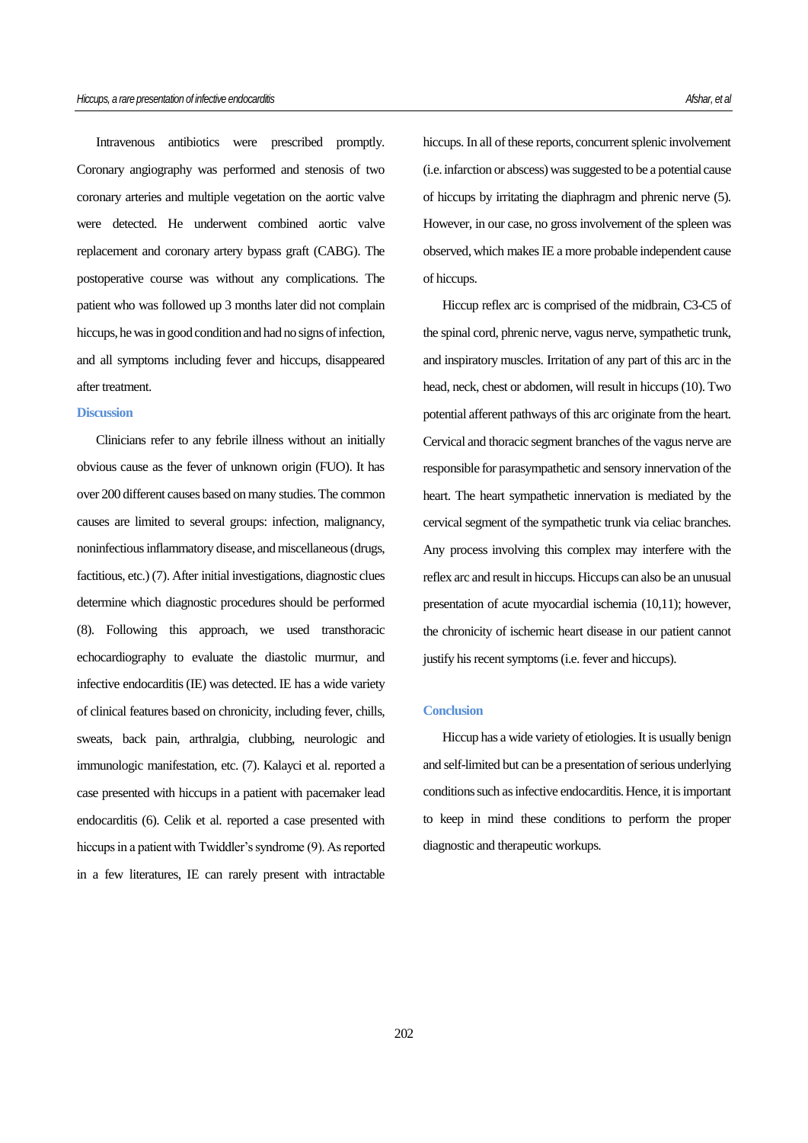Intravenous antibiotics were prescribed promptly. Coronary angiography was performed and stenosis of two coronary arteries and multiple vegetation on the aortic valve were detected. He underwent combined aortic valve replacement and coronary artery bypass graft (CABG). The postoperative course was without any complications. The patient who was followed up 3 months later did not complain hiccups, he was in good condition and had no signs of infection, and all symptoms including fever and hiccups, disappeared after treatment.

# **Discussion**

Clinicians refer to any febrile illness without an initially obvious cause as the fever of unknown origin (FUO). It has over 200 different causes based on many studies. The common causes are limited to several groups: infection, malignancy, noninfectious inflammatory disease, and miscellaneous (drugs, factitious, etc.) (7). After initial investigations, diagnostic clues determine which diagnostic procedures should be performed (8). Following this approach, we used transthoracic echocardiography to evaluate the diastolic murmur, and infective endocarditis (IE) was detected. IE has a wide variety of clinical features based on chronicity, including fever, chills, sweats, back pain, arthralgia, clubbing, neurologic and immunologic manifestation, etc. (7). Kalayci et al. reported a case presented with hiccups in a patient with pacemaker lead endocarditis (6). Celik et al. reported a case presented with hiccups in a patient with Twiddler's syndrome (9). As reported in a few literatures, IE can rarely present with intractable

hiccups. In all of these reports, concurrent splenic involvement (i.e. infarction or abscess) was suggested to be a potential cause of hiccups by irritating the diaphragm and phrenic nerve (5). However, in our case, no gross involvement of the spleen was observed, which makes IE a more probable independent cause of hiccups.

Hiccup reflex arc is comprised of the midbrain, C3-C5 of the spinal cord, phrenic nerve, vagus nerve, sympathetic trunk, and inspiratory muscles. Irritation of any part of this arc in the head, neck, chest or abdomen, will result in hiccups (10). Two potential afferent pathways of this arc originate from the heart. Cervical and thoracic segment branches of the vagus nerve are responsible for parasympathetic and sensory innervation of the heart. The heart sympathetic innervation is mediated by the cervical segment of the sympathetic trunk via celiac branches. Any process involving this complex may interfere with the reflex arc and result in hiccups. Hiccups can also be an unusual presentation of acute myocardial ischemia (10,11); however, the chronicity of ischemic heart disease in our patient cannot justify his recent symptoms (i.e. fever and hiccups).

## **Conclusion**

Hiccup has a wide variety of etiologies. It is usually benign and self-limited but can be a presentation of serious underlying conditions such as infective endocarditis. Hence, it is important to keep in mind these conditions to perform the proper diagnostic and therapeutic workups.